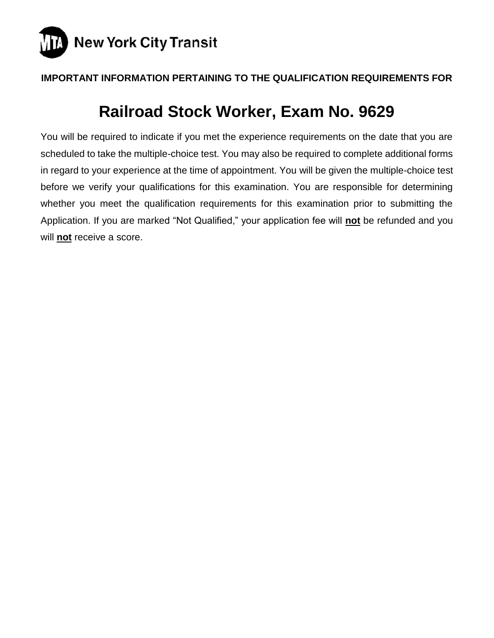

# **IMPORTANT INFORMATION PERTAINING TO THE QUALIFICATION REQUIREMENTS FOR**

# **Railroad Stock Worker, Exam No. 9629**

You will be required to indicate if you met the experience requirements on the date that you are scheduled to take the multiple-choice test. You may also be required to complete additional forms in regard to your experience at the time of appointment. You will be given the multiple-choice test before we verify your qualifications for this examination. You are responsible for determining whether you meet the qualification requirements for this examination prior to submitting the Application. If you are marked "Not Qualified," your application fee will **not** be refunded and you will **not** receive a score.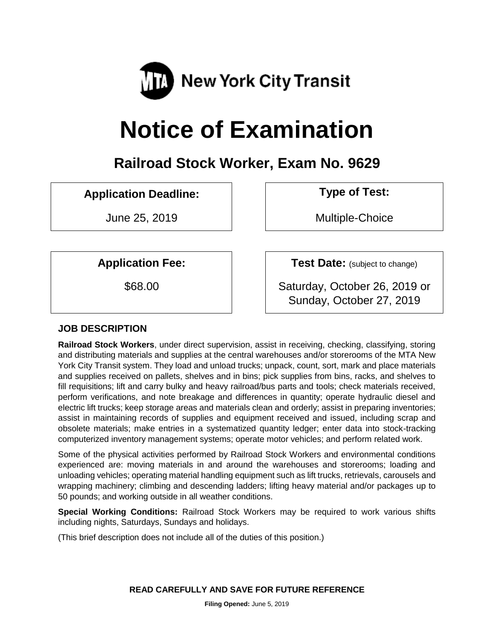

# **Notice of Examination**

# **Railroad Stock Worker, Exam No. 9629**

# **Application Deadline: Type of Test:**

June 25, 2019 Multiple-Choice

**Application Fee:**  $\vert$  **Test Date:** (subject to change)

\$68.00 Saturday, October 26, 2019 or Sunday, October 27, 2019

#### **JOB DESCRIPTION**

**Railroad Stock Workers**, under direct supervision, assist in receiving, checking, classifying, storing and distributing materials and supplies at the central warehouses and/or storerooms of the MTA New York City Transit system. They load and unload trucks; unpack, count, sort, mark and place materials and supplies received on pallets, shelves and in bins; pick supplies from bins, racks, and shelves to fill requisitions; lift and carry bulky and heavy railroad/bus parts and tools; check materials received, perform verifications, and note breakage and differences in quantity; operate hydraulic diesel and electric lift trucks; keep storage areas and materials clean and orderly; assist in preparing inventories; assist in maintaining records of supplies and equipment received and issued, including scrap and obsolete materials; make entries in a systematized quantity ledger; enter data into stock-tracking computerized inventory management systems; operate motor vehicles; and perform related work.

Some of the physical activities performed by Railroad Stock Workers and environmental conditions experienced are: moving materials in and around the warehouses and storerooms; loading and unloading vehicles; operating material handling equipment such as lift trucks, retrievals, carousels and wrapping machinery; climbing and descending ladders; lifting heavy material and/or packages up to 50 pounds; and working outside in all weather conditions.

**Special Working Conditions:** Railroad Stock Workers may be required to work various shifts including nights, Saturdays, Sundays and holidays.

(This brief description does not include all of the duties of this position.)

**READ CAREFULLY AND SAVE FOR FUTURE REFERENCE**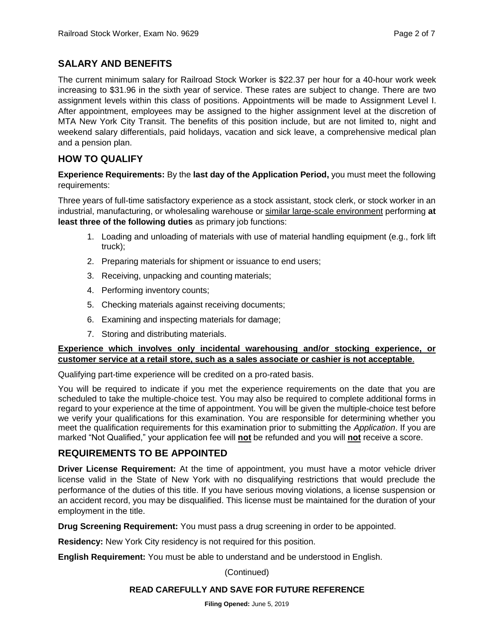#### **SALARY AND BENEFITS**

The current minimum salary for Railroad Stock Worker is \$22.37 per hour for a 40-hour work week increasing to \$31.96 in the sixth year of service. These rates are subject to change. There are two assignment levels within this class of positions. Appointments will be made to Assignment Level I. After appointment, employees may be assigned to the higher assignment level at the discretion of MTA New York City Transit. The benefits of this position include, but are not limited to, night and weekend salary differentials, paid holidays, vacation and sick leave, a comprehensive medical plan and a pension plan.

#### **HOW TO QUALIFY**

**Experience Requirements:** By the **last day of the Application Period,** you must meet the following requirements:

Three years of full-time satisfactory experience as a stock assistant, stock clerk, or stock worker in an industrial, manufacturing, or wholesaling warehouse or similar large-scale environment performing **at least three of the following duties** as primary job functions:

- 1. Loading and unloading of materials with use of material handling equipment (e.g., fork lift truck);
- 2. Preparing materials for shipment or issuance to end users;
- 3. Receiving, unpacking and counting materials;
- 4. Performing inventory counts;
- 5. Checking materials against receiving documents;
- 6. Examining and inspecting materials for damage;
- 7. Storing and distributing materials.

#### **Experience which involves only incidental warehousing and/or stocking experience, or customer service at a retail store, such as a sales associate or cashier is not acceptable**.

Qualifying part-time experience will be credited on a pro-rated basis.

You will be required to indicate if you met the experience requirements on the date that you are scheduled to take the multiple-choice test. You may also be required to complete additional forms in regard to your experience at the time of appointment. You will be given the multiple-choice test before we verify your qualifications for this examination. You are responsible for determining whether you meet the qualification requirements for this examination prior to submitting the *Application*. If you are marked "Not Qualified," your application fee will **not** be refunded and you will **not** receive a score.

#### **REQUIREMENTS TO BE APPOINTED**

**Driver License Requirement:** At the time of appointment, you must have a motor vehicle driver license valid in the State of New York with no disqualifying restrictions that would preclude the performance of the duties of this title. If you have serious moving violations, a license suspension or an accident record, you may be disqualified. This license must be maintained for the duration of your employment in the title.

**Drug Screening Requirement:** You must pass a drug screening in order to be appointed.

**Residency:** New York City residency is not required for this position.

**English Requirement:** You must be able to understand and be understood in English.

(Continued)

#### **READ CAREFULLY AND SAVE FOR FUTURE REFERENCE**

**Filing Opened:** June 5, 2019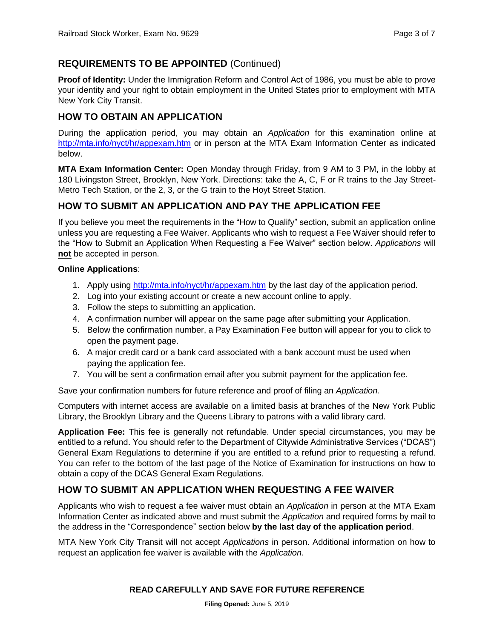## **REQUIREMENTS TO BE APPOINTED** (Continued)

**Proof of Identity:** Under the Immigration Reform and Control Act of 1986, you must be able to prove your identity and your right to obtain employment in the United States prior to employment with MTA New York City Transit.

## **HOW TO OBTAIN AN APPLICATION**

During the application period, you may obtain an *Application* for this examination online at <http://mta.info/nyct/hr/appexam.htm> or in person at the MTA Exam Information Center as indicated below.

**MTA Exam Information Center:** Open Monday through Friday, from 9 AM to 3 PM, in the lobby at 180 Livingston Street, Brooklyn, New York. Directions: take the A, C, F or R trains to the Jay Street-Metro Tech Station, or the 2, 3, or the G train to the Hoyt Street Station.

#### **HOW TO SUBMIT AN APPLICATION AND PAY THE APPLICATION FEE**

If you believe you meet the requirements in the "How to Qualify" section, submit an application online unless you are requesting a Fee Waiver. Applicants who wish to request a Fee Waiver should refer to the "How to Submit an Application When Requesting a Fee Waiver" section below. *Applications* will **not** be accepted in person.

#### **Online Applications**:

- 1. Apply using<http://mta.info/nyct/hr/appexam.htm> by the last day of the application period.
- 2. Log into your existing account or create a new account online to apply.
- 3. Follow the steps to submitting an application.
- 4. A confirmation number will appear on the same page after submitting your Application.
- 5. Below the confirmation number, a Pay Examination Fee button will appear for you to click to open the payment page.
- 6. A major credit card or a bank card associated with a bank account must be used when paying the application fee.
- 7. You will be sent a confirmation email after you submit payment for the application fee.

Save your confirmation numbers for future reference and proof of filing an *Application.*

Computers with internet access are available on a limited basis at branches of the New York Public Library, the Brooklyn Library and the Queens Library to patrons with a valid library card.

**Application Fee:** This fee is generally not refundable. Under special circumstances, you may be entitled to a refund. You should refer to the Department of Citywide Administrative Services ("DCAS") General Exam Regulations to determine if you are entitled to a refund prior to requesting a refund. You can refer to the bottom of the last page of the Notice of Examination for instructions on how to obtain a copy of the DCAS General Exam Regulations.

#### **HOW TO SUBMIT AN APPLICATION WHEN REQUESTING A FEE WAIVER**

Applicants who wish to request a fee waiver must obtain an *Application* in person at the MTA Exam Information Center as indicated above and must submit the *Application* and required forms by mail to the address in the "Correspondence" section below **by the last day of the application period**.

MTA New York City Transit will not accept *Applications* in person. Additional information on how to request an application fee waiver is available with the *Application.*

#### **READ CAREFULLY AND SAVE FOR FUTURE REFERENCE**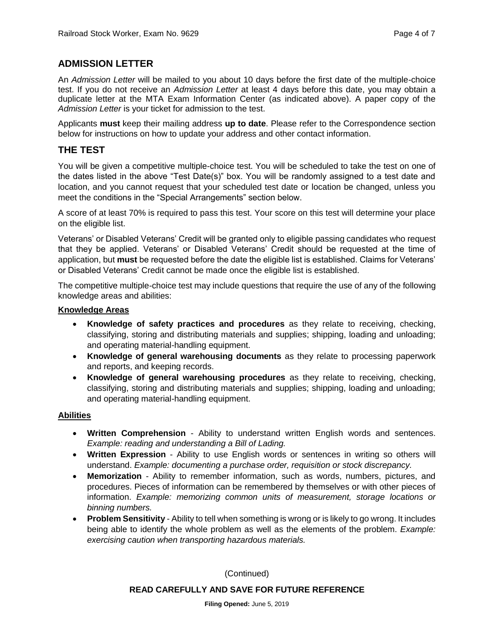#### **ADMISSION LETTER**

An *Admission Letter* will be mailed to you about 10 days before the first date of the multiple-choice test. If you do not receive an *Admission Letter* at least 4 days before this date, you may obtain a duplicate letter at the MTA Exam Information Center (as indicated above). A paper copy of the *Admission Letter* is your ticket for admission to the test.

Applicants **must** keep their mailing address **up to date**. Please refer to the Correspondence section below for instructions on how to update your address and other contact information.

#### **THE TEST**

You will be given a competitive multiple-choice test. You will be scheduled to take the test on one of the dates listed in the above "Test Date(s)" box. You will be randomly assigned to a test date and location, and you cannot request that your scheduled test date or location be changed, unless you meet the conditions in the "Special Arrangements" section below.

A score of at least 70% is required to pass this test. Your score on this test will determine your place on the eligible list.

Veterans' or Disabled Veterans' Credit will be granted only to eligible passing candidates who request that they be applied. Veterans' or Disabled Veterans' Credit should be requested at the time of application, but **must** be requested before the date the eligible list is established. Claims for Veterans' or Disabled Veterans' Credit cannot be made once the eligible list is established.

The competitive multiple-choice test may include questions that require the use of any of the following knowledge areas and abilities:

#### **Knowledge Areas**

- **Knowledge of safety practices and procedures** as they relate to receiving, checking, classifying, storing and distributing materials and supplies; shipping, loading and unloading; and operating material-handling equipment.
- **Knowledge of general warehousing documents** as they relate to processing paperwork and reports, and keeping records.
- **Knowledge of general warehousing procedures** as they relate to receiving, checking, classifying, storing and distributing materials and supplies; shipping, loading and unloading; and operating material-handling equipment.

#### **Abilities**

- **Written Comprehension** Ability to understand written English words and sentences. *Example: reading and understanding a Bill of Lading.*
- **Written Expression** Ability to use English words or sentences in writing so others will understand. *Example: documenting a purchase order, requisition or stock discrepancy.*
- **Memorization** Ability to remember information, such as words, numbers, pictures, and procedures. Pieces of information can be remembered by themselves or with other pieces of information. *Example: memorizing common units of measurement, storage locations or binning numbers.*
- **Problem Sensitivity** Ability to tell when something is wrong or is likely to go wrong. It includes being able to identify the whole problem as well as the elements of the problem. *Example: exercising caution when transporting hazardous materials.*

(Continued)

#### **READ CAREFULLY AND SAVE FOR FUTURE REFERENCE**

**Filing Opened:** June 5, 2019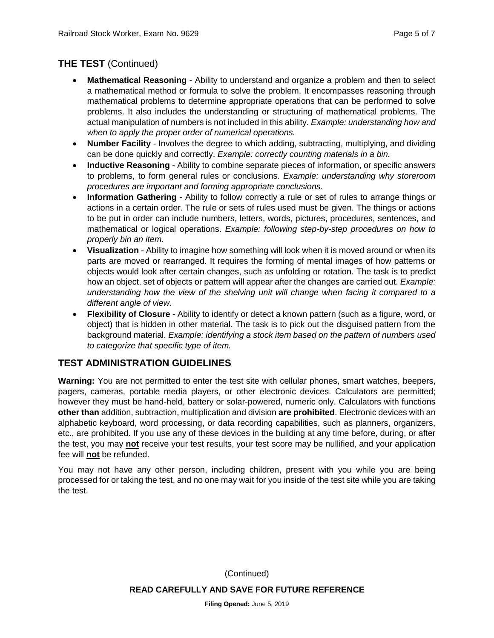# **THE TEST** (Continued)

- **Mathematical Reasoning** Ability to understand and organize a problem and then to select a mathematical method or formula to solve the problem. It encompasses reasoning through mathematical problems to determine appropriate operations that can be performed to solve problems. It also includes the understanding or structuring of mathematical problems. The actual manipulation of numbers is not included in this ability. *Example: understanding how and when to apply the proper order of numerical operations.*
- **Number Facility** Involves the degree to which adding, subtracting, multiplying, and dividing can be done quickly and correctly. *Example: correctly counting materials in a bin.*
- **Inductive Reasoning** Ability to combine separate pieces of information, or specific answers to problems, to form general rules or conclusions. *Example: understanding why storeroom procedures are important and forming appropriate conclusions.*
- **Information Gathering** Ability to follow correctly a rule or set of rules to arrange things or actions in a certain order. The rule or sets of rules used must be given. The things or actions to be put in order can include numbers, letters, words, pictures, procedures, sentences, and mathematical or logical operations. *Example: following step-by-step procedures on how to properly bin an item.*
- **Visualization** Ability to imagine how something will look when it is moved around or when its parts are moved or rearranged. It requires the forming of mental images of how patterns or objects would look after certain changes, such as unfolding or rotation. The task is to predict how an object, set of objects or pattern will appear after the changes are carried out. *Example: understanding how the view of the shelving unit will change when facing it compared to a different angle of view.*
- **Flexibility of Closure** Ability to identify or detect a known pattern (such as a figure, word, or object) that is hidden in other material. The task is to pick out the disguised pattern from the background material. *Example: identifying a stock item based on the pattern of numbers used to categorize that specific type of item.*

# **TEST ADMINISTRATION GUIDELINES**

**Warning:** You are not permitted to enter the test site with cellular phones, smart watches, beepers, pagers, cameras, portable media players, or other electronic devices. Calculators are permitted; however they must be hand-held, battery or solar-powered, numeric only. Calculators with functions **other than** addition, subtraction, multiplication and division **are prohibited**. Electronic devices with an alphabetic keyboard, word processing, or data recording capabilities, such as planners, organizers, etc., are prohibited. If you use any of these devices in the building at any time before, during, or after the test, you may **not** receive your test results, your test score may be nullified, and your application fee will **not** be refunded.

You may not have any other person, including children, present with you while you are being processed for or taking the test, and no one may wait for you inside of the test site while you are taking the test.

> **READ CAREFULLY AND SAVE FOR FUTURE REFERENCE** (Continued)

> > **Filing Opened:** June 5, 2019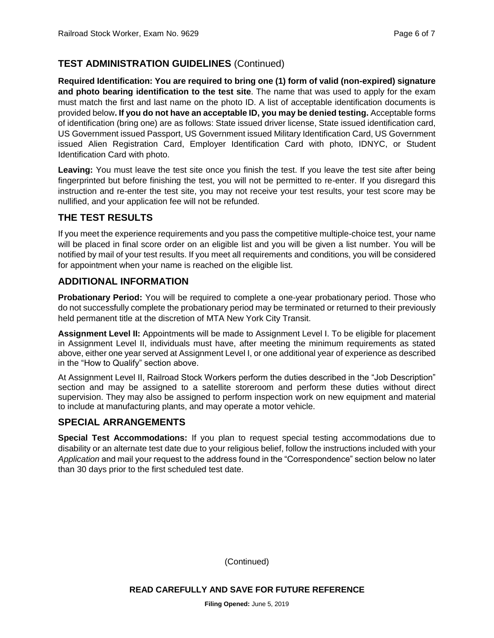# **TEST ADMINISTRATION GUIDELINES** (Continued)

**Required Identification: You are required to bring one (1) form of valid (non-expired) signature and photo bearing identification to the test site**. The name that was used to apply for the exam must match the first and last name on the photo ID. A list of acceptable identification documents is provided below**. If you do not have an acceptable ID, you may be denied testing.** Acceptable forms of identification (bring one) are as follows: State issued driver license, State issued identification card, US Government issued Passport, US Government issued Military Identification Card, US Government issued Alien Registration Card, Employer Identification Card with photo, IDNYC, or Student Identification Card with photo.

**Leaving:** You must leave the test site once you finish the test. If you leave the test site after being fingerprinted but before finishing the test, you will not be permitted to re-enter. If you disregard this instruction and re-enter the test site, you may not receive your test results, your test score may be nullified, and your application fee will not be refunded.

#### **THE TEST RESULTS**

If you meet the experience requirements and you pass the competitive multiple-choice test, your name will be placed in final score order on an eligible list and you will be given a list number. You will be notified by mail of your test results. If you meet all requirements and conditions, you will be considered for appointment when your name is reached on the eligible list.

## **ADDITIONAL INFORMATION**

**Probationary Period:** You will be required to complete a one-year probationary period. Those who do not successfully complete the probationary period may be terminated or returned to their previously held permanent title at the discretion of MTA New York City Transit.

**Assignment Level II:** Appointments will be made to Assignment Level I. To be eligible for placement in Assignment Level II, individuals must have, after meeting the minimum requirements as stated above, either one year served at Assignment Level I, or one additional year of experience as described in the "How to Qualify" section above.

At Assignment Level II, Railroad Stock Workers perform the duties described in the "Job Description" section and may be assigned to a satellite storeroom and perform these duties without direct supervision. They may also be assigned to perform inspection work on new equipment and material to include at manufacturing plants, and may operate a motor vehicle.

# **SPECIAL ARRANGEMENTS**

**Special Test Accommodations:** If you plan to request special testing accommodations due to disability or an alternate test date due to your religious belief, follow the instructions included with your *Application* and mail your request to the address found in the "Correspondence" section below no later than 30 days prior to the first scheduled test date.

(Continued)